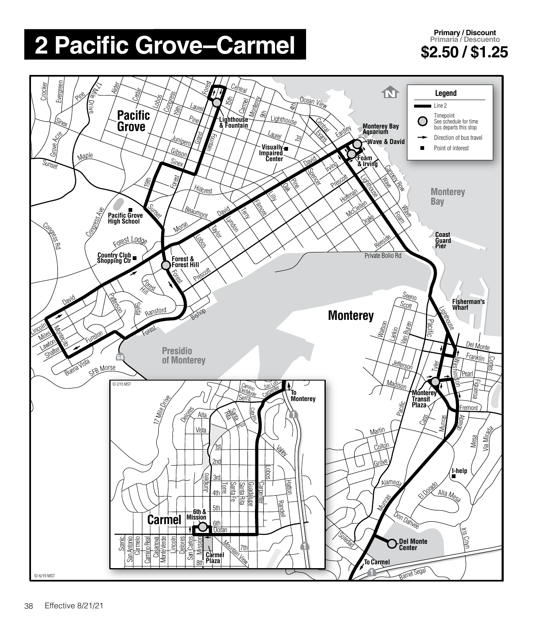## **2 Pacific Grove–Carmel \$2.50 / \$1.25**

**Primary / Discount Primaria / Descuento**

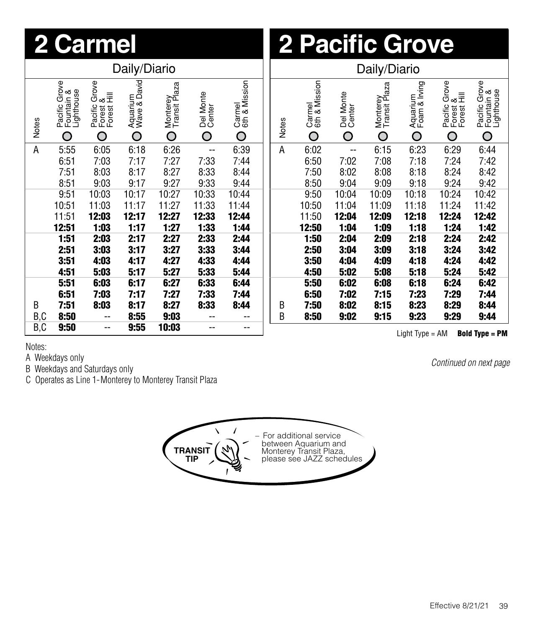| 2 Carmel     |                                                                                        |                                                      |                               |                                |                          | <b>2 Pacific Grove</b>       |              |                              |                          |                                |                                |                                                      |                                                |  |
|--------------|----------------------------------------------------------------------------------------|------------------------------------------------------|-------------------------------|--------------------------------|--------------------------|------------------------------|--------------|------------------------------|--------------------------|--------------------------------|--------------------------------|------------------------------------------------------|------------------------------------------------|--|
|              | Daily/Diario                                                                           |                                                      |                               |                                |                          |                              | Daily/Diario |                              |                          |                                |                                |                                                      |                                                |  |
| <b>Notes</b> | Pacific Grove<br>Fountain &<br>Lighthouse<br>O                                         | Grove<br>Pacific Gro<br>Forest &<br>Forest Hill<br>O | Aquarium<br>Wave & David<br>Ó | Monterey<br>Transit Plaza<br>O | Del Monte<br>Center<br>Ó | Carmel<br>6th & Mission<br>O | <b>Notes</b> | Carmel<br>6th & Mission<br>Ó | Del Monte<br>Center<br>Ó | Monterey<br>Transit Plaza<br>O | Aquarium<br>Foam & Irving<br>O | Grove<br>Pacific Gro<br>Forest &<br>Forest Hill<br>O | Pacific Grove<br>Fountain &<br>Lighthouse<br>O |  |
| Α            | 5:55                                                                                   | 6:05                                                 | 6:18                          | 6:26                           | $\overline{\phantom{a}}$ | 6:39                         | Α            | 6:02                         | $\overline{\phantom{a}}$ | 6:15                           | 6:23                           | 6:29                                                 | 6:44                                           |  |
|              | 6:51                                                                                   | 7:03                                                 | 7:17                          | 7:27                           | 7:33                     | 7:44                         |              | 6:50                         | 7:02                     | 7:08                           | 7:18                           | 7:24                                                 | 7:42                                           |  |
|              | 7:51                                                                                   | 8:03                                                 | 8:17                          | 8:27                           | 8:33                     | 8:44                         |              | 7:50                         | 8:02                     | 8:08                           | 8:18                           | 8:24                                                 | 8:42                                           |  |
|              | 8:51                                                                                   | 9:03                                                 | 9:17                          | 9:27                           | 9:33                     | 9:44                         |              | 8:50                         | 9:04                     | 9:09                           | 9:18                           | 9:24                                                 | 9:42                                           |  |
|              | 9:51                                                                                   | 10:03                                                | 10:17                         | 10:27                          | 10:33                    | 10:44                        |              | 9:50                         | 10:04                    | 10:09                          | 10:18                          | 10:24                                                | 10:42                                          |  |
|              | 10:51                                                                                  | 11:03                                                | 11:17                         | 11:27                          | 11:33                    | 11:44                        |              | 10:50                        | 11:04                    | 11:09                          | 11:18                          | 11:24                                                | 11:42                                          |  |
|              | 11:51                                                                                  | 12:03                                                | 12:17                         | 12:27                          | 12:33                    | 12:44                        |              | 11:50                        | 12:04                    | 12:09                          | 12:18                          | 12:24                                                | 12:42                                          |  |
|              | 12:51                                                                                  | 1:03                                                 | 1:17                          | 1:27                           | 1:33                     | 1:44                         |              | 12:50                        | 1:04                     | 1:09                           | 1:18                           | 1:24                                                 | 1:42                                           |  |
|              | 1:51                                                                                   | 2:03                                                 | 2:17                          | 2:27                           | 2:33                     | 2:44                         |              | 1:50                         | 2:04                     | 2:09                           | 2:18                           | 2:24                                                 | 2:42                                           |  |
|              | 2:51                                                                                   | 3:03                                                 | 3:17                          | 3:27                           | 3:33                     | 3:44                         |              | 2:50                         | 3:04                     | 3:09                           | 3:18                           | 3:24                                                 | 3:42                                           |  |
|              | 3:51                                                                                   | 4:03                                                 | 4:17                          | 4:27                           | 4:33                     | 4:44                         |              | 3:50                         | 4:04                     | 4:09                           | 4:18                           | 4:24                                                 | 4:42                                           |  |
|              | 4:51                                                                                   | 5:03                                                 | 5:17                          | 5:27                           | 5:33                     | 5:44                         |              | 4:50                         | 5:02                     | 5:08                           | 5:18                           | 5:24                                                 | 5:42                                           |  |
|              | 5:51                                                                                   | 6:03                                                 | 6:17                          | 6:27                           | 6:33                     | 6:44                         |              | 5:50                         | 6:02                     | 6:08                           | 6:18                           | 6:24                                                 | 6:42                                           |  |
|              | 6:51                                                                                   | 7:03                                                 | 7:17                          | 7:27                           | 7:33                     | 7:44                         |              | 6:50                         | 7:02                     | 7:15                           | 7:23                           | 7:29                                                 | 7:44                                           |  |
| B            | 7:51                                                                                   | 8:03                                                 | 8:17                          | 8:27                           | 8:33                     | 8:44                         | В            | 7:50                         | 8:02                     | 8:15                           | 8:23                           | 8:29                                                 | 8:44                                           |  |
| B,C          | 8:50                                                                                   | --                                                   | 8:55                          | 9:03                           | --                       |                              | B            | 8:50                         | 9:02                     | 9:15                           | 9:23                           | 9:29                                                 | 9:44                                           |  |
| B, C         | 9:50<br>9:55<br>10:03<br>$-$<br>--<br>--<br>Light $Type = AM$<br><b>Bold Type = PM</b> |                                                      |                               |                                |                          |                              |              |                              |                          |                                |                                |                                                      |                                                |  |

Notes:

A Weekdays only

B Weekdays and Saturdays only

C Operates as Line 1-Monterey to Monterey Transit Plaza

**TRANSIT TIP** – For additional service between Aquarium and Monterey Transit Plaza, please see JAZZ schedules

*Continued on next page*